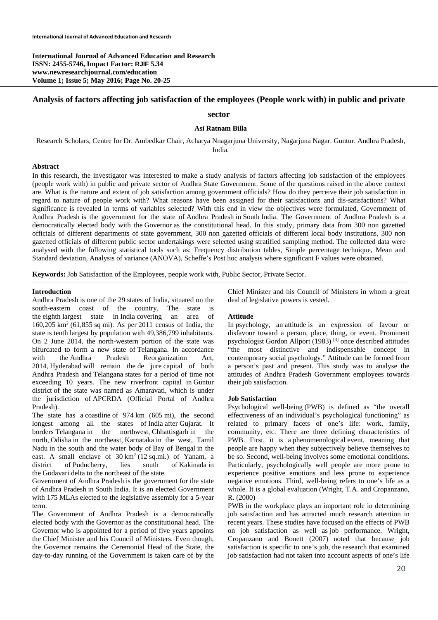**International Journal of Advanced Education and Research ISSN: 2455-5746, Impact Factor: RJIF 5.34 www.newresearchjournal.com/education Volume 1; Issue 5; May 2016; Page No. 20-25** 

# **Analysis of factors affecting job satisfaction of the employees (People work with) in public and private**

### **sector**

#### **Asi Ratnam Billa**

Research Scholars, Centre for Dr. Ambedkar Chair, Acharya Nnagarjuna University, Nagarjuna Nagar. Guntur. Andhra Pradesh, India.

#### **Abstract**

In this research, the investigator was interested to make a study analysis of factors affecting job satisfaction of the employees (people work with) in public and private sector of Andhra State Government. Some of the questions raised in the above context are. What is the nature and extent of job satisfaction among government officials? How do they perceive their job satisfaction in regard to nature of people work with? What reasons have been assigned for their satisfactions and dis-satisfactions? What significance is revealed in terms of variables selected? With this end in view the objectives were formulated, Government of Andhra Pradesh is the government for the state of Andhra Pradesh in South India. The Government of Andhra Pradesh is a democratically elected body with the Governor as the constitutional head. In this study, primary data from 300 non gazetted officials of different departments of state government, 300 non gazetted officials of different local body institutions, 300 non gazetted officials of different public sector undertakings were selected using stratified sampling method. The collected data were analysed with the following statistical tools such as: Frequency distribution tables, Simple percentage technique, Mean and Standard deviation, Analysis of variance (ANOVA), Scheffe's Post hoc analysis where significant F values were obtained.

**Keywords:** Job Satisfaction of the Employees, people work with, Public Sector, Private Sector.

#### **Introduction**

Andhra Pradesh is one of the 29 states of India, situated on the south-eastern coast of the country. The state is the eighth largest state in India covering an area of 160,205 km2 (61,855 sq mi). As per 2011 census of India, the state is tenth largest by population with 49,386,799 inhabitants. On 2 June 2014, the north-western portion of the state was bifurcated to form a new state of Telangana. In accordance with the Andhra Pradesh Reorganization Act, 2014, Hyderabad will remain the de jure capital of both Andhra Pradesh and Telangana states for a period of time not exceeding 10 years. The new riverfront capital in Guntur district of the state was named as Amaravati, which is under the jurisdiction of APCRDA (Official Portal of Andhra Pradesh).

The state has a coastline of 974 km (605 mi), the second longest among all the states of India after Gujarat. It borders Telangana in the northwest, Chhattisgarh in the north, Odisha in the northeast, Karnataka in the west, Tamil Nadu in the south and the water body of Bay of Bengal in the east. A small enclave of  $30 \text{ km}^2 (12 \text{ sq} \cdot \text{mi})$  of Yanam, a district of Puducherry, lies south of Kakinada in the Godavari delta to the northeast of the state.

Government of Andhra Pradesh is the government for the state of Andhra Pradesh in South India. It is an elected Government with 175 MLAs elected to the legislative assembly for a 5-year term.

The Government of Andhra Pradesh is a democratically elected body with the Governor as the constitutional head. The Governor who is appointed for a period of five years appoints the Chief Minister and his Council of Ministers. Even though, the Governor remains the Ceremonial Head of the State, the day-to-day running of the Government is taken care of by the

Chief Minister and his Council of Ministers in whom a great deal of legislative powers is vested.

### **Attitude**

In psychology, an attitude is an expression of favour or disfavour toward a person, place, thing, or event. Prominent psychologist Gordon Allport (1983) [3] once described attitudes "the most distinctive and indispensable concept in contemporary social psychology." Attitude can be formed from a person's past and present. This study was to analyse the attitudes of Andhra Pradesh Government employees towards their job satisfaction.

#### **Job Satisfaction**

Psychological well-being (PWB) is defined as "the overall effectiveness of an individual's psychological functioning" as related to primary facets of one's life: work, family, community, etc. There are three defining characteristics of PWB. First, it is a phenomenological event, meaning that people are happy when they subjectively believe themselves to be so. Second, well-being involves some emotional conditions. Particularly, psychologically well people are more prone to experience positive emotions and less prone to experience negative emotions. Third, well-being refers to one's life as a whole. It is a global evaluation (Wright, T.A. and Cropanzano, R. (2000)

PWB in the workplace plays an important role in determining job satisfaction and has attracted much research attention in recent years. These studies have focused on the effects of PWB on job satisfaction as well as job performance. Wright, Cropanzano and Bonett (2007) noted that because job satisfaction is specific to one's job, the research that examined job satisfaction had not taken into account aspects of one's life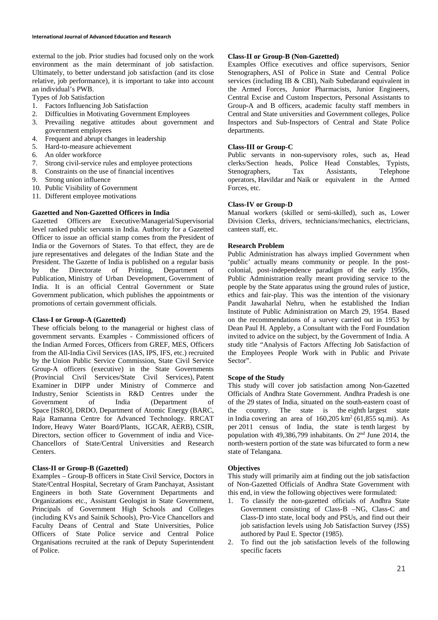external to the job. Prior studies had focused only on the work environment as the main determinant of job satisfaction. Ultimately, to better understand job satisfaction (and its close relative, job performance), it is important to take into account an individual's PWB.

Types of Job Satisfaction

- 1. Factors Influencing Job Satisfaction
- 2. Difficulties in Motivating Government Employees
- 3. Prevailing negative attitudes about government and government employees
- 4. Frequent and abrupt changes in leadership
- 5. Hard-to-measure achievement
- 6. An older workforce
- 7. Strong civil-service rules and employee protections
- 8. Constraints on the use of financial incentives
- 9. Strong union influence
- 10. Public Visibility of Government
- 11. Different employee motivations

# **Gazetted and Non-Gazetted Officers in India**

Gazetted Officers are Executive/Managerial/Supervisorial level ranked public servants in India. Authority for a Gazetted Officer to issue an official stamp comes from the President of India or the Governors of States. To that effect, they are de jure representatives and delegates of the Indian State and the President. The Gazette of India is published on a regular basis by the Directorate of Printing, Department of Publication, Ministry of Urban Development, Government of India. It is an official Central Government or State Government publication, which publishes the appointments or promotions of certain government officials.

## **Class-I or Group-A (Gazetted)**

These officials belong to the managerial or highest class of government servants. Examples - Commissioned officers of the Indian Armed Forces, Officers from GREF, MES, Officers from the All-India Civil Services (IAS, IPS, IFS, etc.) recruited by the Union Public Service Commission, State Civil Service Group-A officers (executive) in the State Governments (Provincial Civil Services/State Civil Services), Patent Examiner in DIPP under Ministry of Commerce and Industry, Senior Scientists in R&D Centres under the Government of India (Department of Space [ISRO], DRDO, Department of Atomic Energy (BARC, Raja Ramanna Centre for Advanced Technology. RRCAT Indore, Heavy Water Board/Plants, IGCAR, AERB), CSIR, Directors, section officer to Government of india and Vice-Chancellors of State/Central Universities and Research **Centers**.

# **Class-II or Group-B (Gazetted)**

Examples – Group-B officers in State Civil Service, Doctors in State/Central Hospital, Secretary of Gram Panchayat, Assistant Engineers in both State Government Departments and Organizations etc., Assistant Geologist in State Government, Principals of Government High Schools and Colleges (including KVs and Sainik Schools), Pro-Vice Chancellors and Faculty Deans of Central and State Universities, Police Officers of State Police service and Central Police Organisations recruited at the rank of Deputy Superintendent of Police.

## **Class-II or Group-B (Non-Gazetted)**

Examples Office executives and office supervisors, Senior Stenographers, ASI of Police in State and Central Police services (including IB & CBI), Naib Subedarand equivalent in the Armed Forces, Junior Pharmacists, Junior Engineers, Central Excise and Custom Inspectors, Personal Assistants to Group-A and B officers, academic faculty staff members in Central and State universities and Government colleges, Police Inspectors and Sub-Inspectors of Central and State Police departments.

# **Class-III or Group-C**

Public servants in non-supervisory roles, such as, Head clerks/Section heads, Police Head Constables, Typists, Stenographers, Tax Assistants, Telephone operators, Havildar and Naik or equivalent in the Armed Forces, etc.

# **Class-IV or Group-D**

Manual workers (skilled or semi-skilled), such as, Lower Division Clerks, drivers, technicians/mechanics, electricians, canteen staff, etc.

# **Research Problem**

Public Administration has always implied Government when 'public' actually means community or people. In the postcolonial, post-independence paradigm of the early 1950s, Public Administration really meant providing service to the people by the State apparatus using the ground rules of justice, ethics and fair-play. This was the intention of the visionary Pandit Jawaharlal Nehru, when he established the Indian Institute of Public Administration on March 29, 1954. Based on the recommendations of a survey carried out in 1953 by Dean Paul H. Appleby, a Consultant with the Ford Foundation invited to advice on the subject, by the Government of India. A study title "Analysis of Factors Affecting Job Satisfaction of the Employees People Work with in Public and Private Sector".

# **Scope of the Study**

This study will cover job satisfaction among Non-Gazetted Officials of Andhra State Government. Andhra Pradesh is one of the 29 states of India, situated on the south-eastern coast of the country. The state is the eighth largest state in India covering an area of  $160,205 \text{ km}^2$  (61,855 sq.mi). As per 2011 census of India, the state is tenth largest by population with 49,386,799 inhabitants. On  $2<sup>nd</sup>$  June 2014, the north-western portion of the state was bifurcated to form a new state of Telangana.

# **Objectives**

This study will primarily aim at finding out the job satisfaction of Non-Gazetted Officials of Andhra State Government with this end, in view the following objectives were formulated:

- 1. To classify the non-gazetted officials of Andhra State Government consisting of Class-B –NG, Class-C and Class-D into state, local body and PSUs, and find out their job satisfaction levels using Job Satisfaction Survey (JSS) authored by Paul E. Spector (1985).
- 2. To find out the job satisfaction levels of the following specific facets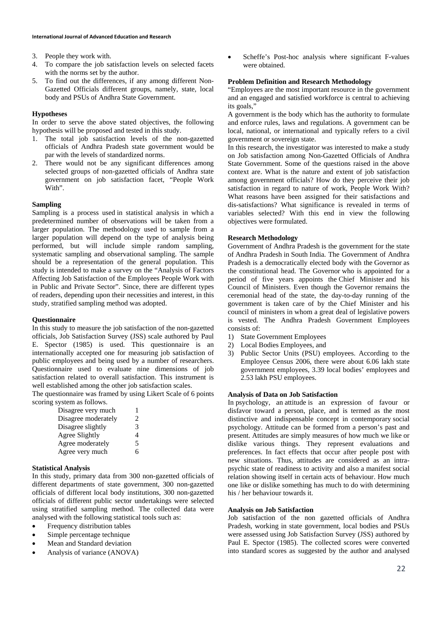- 3. People they work with.
- 4. To compare the job satisfaction levels on selected facets with the norms set by the author.
- 5. To find out the differences, if any among different Non-Gazetted Officials different groups, namely, state, local body and PSUs of Andhra State Government.

### **Hypotheses**

In order to serve the above stated objectives, the following hypothesis will be proposed and tested in this study.

- 1. The total job satisfaction levels of the non-gazetted officials of Andhra Pradesh state government would be par with the levels of standardized norms.
- 2. There would not be any significant differences among selected groups of non-gazetted officials of Andhra state government on job satisfaction facet, "People Work With".

## **Sampling**

Sampling is a process used in statistical analysis in which a predetermined number of observations will be taken from a larger population. The methodology used to sample from a larger population will depend on the type of analysis being performed, but will include simple random sampling, systematic sampling and observational sampling. The sample should be a representation of the general population. This study is intended to make a survey on the "Analysis of Factors Affecting Job Satisfaction of the Employees People Work with in Public and Private Sector". Since, there are different types of readers, depending upon their necessities and interest, in this study, stratified sampling method was adopted.

#### **Questionnaire**

In this study to measure the job satisfaction of the non-gazetted officials, Job Satisfaction Survey (JSS) scale authored by Paul E. Spector (1985) is used. This questionnaire is an internationally accepted one for measuring job satisfaction of public employees and being used by a number of researchers. Questionnaire used to evaluate nine dimensions of job satisfaction related to overall satisfaction. This instrument is well established among the other job satisfaction scales.

The questionnaire was framed by using Likert Scale of 6 points scoring system as follows.

| Disagree very much  |    |
|---------------------|----|
| Disagree moderately | 2  |
| Disagree slightly   | 3  |
| Agree Slightly      | 4  |
| Agree moderately    | 5  |
| Agree very much     | 6. |

#### **Statistical Analysis**

In this study, primary data from 300 non-gazetted officials of different departments of state government, 300 non-gazetted officials of different local body institutions, 300 non-gazetted officials of different public sector undertakings were selected using stratified sampling method. The collected data were analysed with the following statistical tools such as:

- Frequency distribution tables
- Simple percentage technique
- Mean and Standard deviation
- Analysis of variance (ANOVA)

 Scheffe's Post-hoc analysis where significant F-values were obtained.

### **Problem Definition and Research Methodology**

"Employees are the most important resource in the government and an engaged and satisfied workforce is central to achieving its goals,"

A government is the body which has the authority to formulate and enforce rules, laws and regulations. A government can be local, national, or international and typically refers to a civil government or sovereign state.

In this research, the investigator was interested to make a study on Job satisfaction among Non-Gazetted Officials of Andhra State Government. Some of the questions raised in the above context are. What is the nature and extent of job satisfaction among government officials? How do they perceive their job satisfaction in regard to nature of work, People Work With? What reasons have been assigned for their satisfactions and dis-satisfactions? What significance is revealed in terms of variables selected? With this end in view the following objectives were formulated.

## **Research Methodology**

Government of Andhra Pradesh is the government for the state of Andhra Pradesh in South India. The Government of Andhra Pradesh is a democratically elected body with the Governor as the constitutional head. The Governor who is appointed for a period of five years appoints the Chief Minister and his Council of Ministers. Even though the Governor remains the ceremonial head of the state, the day-to-day running of the government is taken care of by the Chief Minister and his council of ministers in whom a great deal of legislative powers is vested. The Andhra Pradesh Government Employees consists of:

- 1) State Government Employees
- 2) Local Bodies Employees, and
- 3) Public Sector Units (PSU) employees. According to the Employee Census 2006, there were about 6.06 lakh state government employees, 3.39 local bodies' employees and 2.53 lakh PSU employees.

## **Analysis of Data on Job Satisfaction**

In psychology, an attitude is an expression of favour or disfavor toward a person, place, and is termed as the most distinctive and indispensable concept in contemporary social psychology. Attitude can be formed from a person's past and present. Attitudes are simply measures of how much we like or dislike various things. They represent evaluations and preferences. In fact effects that occur after people post with new situations. Thus, attitudes are considered as an intrapsychic state of readiness to activity and also a manifest social relation showing itself in certain acts of behaviour. How much one like or dislike something has much to do with determining his / her behaviour towards it.

### **Analysis on Job Satisfaction**

Job satisfaction of the non gazetted officials of Andhra Pradesh, working in state government, local bodies and PSUs were assessed using Job Satisfaction Survey (JSS) authored by Paul E. Spector (1985). The collected scores were converted into standard scores as suggested by the author and analysed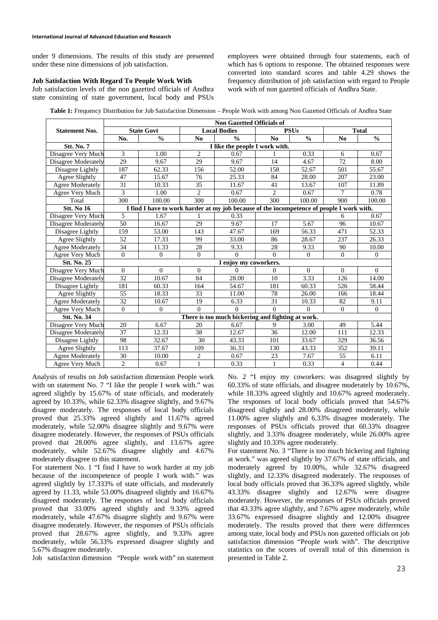under 9 dimensions. The results of this study are presented under these nine dimensions of job satisfaction.

### **Job Satisfaction With Regard To People Work With**

Job satisfaction levels of the non gazetted officials of Andhra state consisting of state government, local body and PSUs

employees were obtained through four statements, each of which has 6 options to response. The obtained responses were converted into standard scores and table 4.29 shows the frequency distribution of job satisfaction with regard to People work with of non gazetted officials of Andhra State.

**Table 1:** Frequency Distribution for Job Satisfaction Dimension – People Work with among Non Gazetted Officials of Andhra State

|                       | <b>Non Gazetted Officials of</b>                  |                                                                                           |                 |                       |                |               |                |                |
|-----------------------|---------------------------------------------------|-------------------------------------------------------------------------------------------|-----------------|-----------------------|----------------|---------------|----------------|----------------|
| <b>Statement Nos.</b> |                                                   | <b>State Govt</b>                                                                         |                 | <b>Local Bodies</b>   |                | <b>PSUs</b>   | <b>Total</b>   |                |
|                       | No.                                               | $\frac{0}{0}$                                                                             | No              | $\frac{0}{0}$         | No             | $\frac{0}{0}$ | No             | $\frac{0}{0}$  |
| <b>Stt. No. 7</b>     | I like the people I work with.                    |                                                                                           |                 |                       |                |               |                |                |
| Disagree Very Much    | 3                                                 | 1.00                                                                                      | $\overline{2}$  | 0.67                  |                | 0.33          | 6              | 0.67           |
| Disagree Moderately   | 29                                                | 9.67                                                                                      | $\overline{29}$ | 9.67                  | 14             | 4.67          | 72             | 8.00           |
| Disagree Lightly      | 187                                               | 62.33                                                                                     | 156             | 52.00                 | 158            | 52.67         | 501            | 55.67          |
| Agree Slightly        | 47                                                | 15.67                                                                                     | 76              | 25.33                 | 84             | 28.00         | 207            | 23.00          |
| Agree Moderately      | 31                                                | 10.33                                                                                     | 35              | 11.67                 | 41             | 13.67         | 107            | 11.89          |
| Agree Very Much       | 3                                                 | 1.00                                                                                      | $\overline{c}$  | 0.67                  | $\overline{c}$ | 0.67          | 7              | 0.78           |
| Total                 | 300                                               | 100.00                                                                                    | 300             | 100.00                | 300            | 100.00        | 900            | 100.00         |
| <b>Stt. No 16</b>     |                                                   | I find I have to work harder at my job because of the incompetence of people I work with. |                 |                       |                |               |                |                |
| Disagree Very Much    | 5                                                 | 1.67                                                                                      |                 | 0.33                  |                |               | 6              | 0.67           |
| Disagree Moderately   | 50                                                | 16.67                                                                                     | 29              | 9.67                  | 17             | 5.67          | 96             | 10.67          |
| Disagree Lightly      | 159                                               | 53.00                                                                                     | 143             | 47.67                 | 169            | 56.33         | 471            | 52.33          |
| Agree Slightly        | 52                                                | 17.33                                                                                     | 99              | 33.00                 | 86             | 28.67         | 237            | 26.33          |
| Agree Moderately      | 34                                                | 11.33                                                                                     | 28              | 9.33                  | 28             | 9.33          | 90             | 10.00          |
| Agree Very Much       | $\Omega$                                          | $\Omega$                                                                                  | $\Omega$        | $\Omega$              | $\Omega$       | $\theta$      | $\mathbf{0}$   | $\Omega$       |
| <b>Stt. No. 25</b>    |                                                   |                                                                                           |                 | I enjoy my coworkers. |                |               |                |                |
| Disagree Very Much    | $\Omega$                                          | $\Omega$                                                                                  | $\Omega$        | $\Omega$              | $\Omega$       | $\Omega$      | $\Omega$       | $\Omega$       |
| Disagree Moderately   | 32                                                | 10.67                                                                                     | 84              | 28.00                 | 10             | 3.33          | 126            | 14.00          |
| Disagree Lightly      | 181                                               | 60.33                                                                                     | 164             | 54.67                 | 181            | 60.33         | 526            | 58.44          |
| Agree Slightly        | 55                                                | 18.33                                                                                     | 33              | 11.00                 | 78             | 26.00         | 166            | 18.44          |
| Agree Moderately      | 32                                                | 10.67                                                                                     | 19              | 6.33                  | 31             | 10.33         | 82             | 9.11           |
| Agree Very Much       | $\mathbf{0}$                                      | $\mathbf{0}$                                                                              | $\Omega$        | $\Omega$              | $\Omega$       | $\Omega$      | $\mathbf{0}$   | $\overline{0}$ |
| <b>Stt. No. 34</b>    | There is too much bickering and fighting at work. |                                                                                           |                 |                       |                |               |                |                |
| Disagree Very Much    | 20                                                | 6.67                                                                                      | 20              | 6.67                  | 9              | 3.00          | 49             | 5.44           |
| Disagree Moderately   | 37                                                | 12.33                                                                                     | 38              | 12.67                 | 36             | 12.00         | 111            | 12.33          |
| Disagree Lightly      | 98                                                | 32.67                                                                                     | 30              | 43.33                 | 101            | 33.67         | 329            | 36.56          |
| Agree Slightly        | 113                                               | 37.67                                                                                     | 109             | 36.33                 | 130            | 43.33         | 352            | 39.11          |
| Agree Moderately      | 30                                                | 10.00                                                                                     | $\overline{c}$  | 0.67                  | 23             | 7.67          | 55             | 6.11           |
| Agree Very Much       | $\overline{c}$                                    | 0.67                                                                                      | $\mathbf{1}$    | 0.33                  | $\mathbf{1}$   | 0.33          | $\overline{4}$ | 0.44           |

Analysis of results on Job satisfaction dimension People work with on statement No. 7 "I like the people I work with." was agreed slightly by 15.67% of state officials, and moderately agreed by 10.33%, while 62.33% disagree slightly, and 9.67% disagree moderately. The responses of local body officials proved that 25.33% agreed slightly and 11.67% agreed moderately, while 52.00% disagree slightly and 9.67% were disagree moderately. However, the responses of PSUs officials proved that 28.00% agree slightly, and 13.67% agree moderately, while 52.67% disagree slightly and 4.67% moderately disagree to this statement.

For statement No. 1 "I find I have to work harder at my job because of the incompetence of people I work with." was agreed slightly by 17.333% of state officials, and moderately agreed by 11.33, while 53.00% disagreed slightly and 16.67% disagreed moderately. The responses of local body officials proved that 33.00% agreed slightly and 9.33% agreed moderately, while 47.67% disagree slightly and 9.67% were disagree moderately. However, the responses of PSUs officials proved that 28.67% agree slightly, and 9.33% agree moderately, while 56.33% expressed disagree slightly and 5.67% disagree moderately.

Job satisfaction dimension "People work with" on statement

No. 2 "I enjoy my coworkers: was disagreed slightly by 60.33% of state officials, and disagree moderately by 10.67%, while 18.33% agreed slightly and 10.67% agreed moderately. The responses of local body officials proved that 54.67% disagreed slightly and 28.00% disagreed moderately, while 11.00% agree slightly and 6.33% disagree moderately. The responses of PSUs officials proved that 60.33% disagree slightly, and 3.33% disagree moderately, while 26.00% agree slightly and 10.33% agree moderately.

For statement No. 3 "There is too much bickering and fighting at work." was agreed slightly by 37.67% of state officials, and moderately agreed by 10.00%, while 32.67% disagreed slightly, and 12.33% disagreed moderately. The responses of local body officials proved that 36.33% agreed slightly, while 43.33% disagree slightly and 12.67% were disagree moderately. However, the responses of PSUs officials proved that 43.33% agree slightly, and 7.67% agree moderately, while 33.67% expressed disagree slightly and 12.00% disagree moderately. The results proved that there were differences among state, local body and PSUs non gazetted officials on job satisfaction dimension "People work with". The descriptive statistics on the scores of overall total of this dimension is presented in Table 2.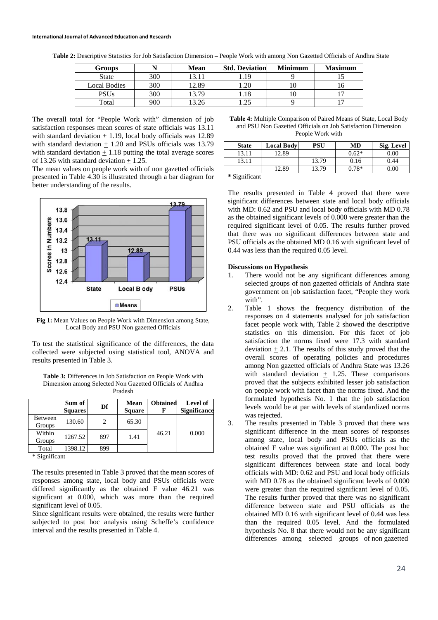#### **International Journal of Advanced Education and Research**

| Groups              |     | <b>Mean</b> | <b>Std. Deviation</b> | <b>Minimum</b> | <b>Maximum</b> |
|---------------------|-----|-------------|-----------------------|----------------|----------------|
| <b>State</b>        | 300 |             | .19                   |                |                |
| <b>Local Bodies</b> | 300 | 2.89        |                       |                |                |
| <b>PSUs</b>         | 300 | 370         |                       |                |                |
| $_{\rm Total}$      | 900 |             |                       |                |                |

**Table 2:** Descriptive Statistics for Job Satisfaction Dimension – People Work with among Non Gazetted Officials of Andhra State

The overall total for "People Work with" dimension of job satisfaction responses mean scores of state officials was 13.11 with standard deviation + 1.19, local body officials was 12.89 with standard deviation  $\pm$  1.20 and PSUs officials was 13.79 with standard deviation  $+1.18$  putting the total average scores of 13.26 with standard deviation  $\pm$  1.25.

The mean values on people work with of non gazetted officials presented in Table 4.30 is illustrated through a bar diagram for better understanding of the results.



**Fig 1:** Mean Values on People Work with Dimension among State, Local Body and PSU Non gazetted Officials

To test the statistical significance of the differences, the data collected were subjected using statistical tool, ANOVA and results presented in Table 3.

| <b>Table 3:</b> Differences in Job Satisfaction on People Work with |
|---------------------------------------------------------------------|
| Dimension among Selected Non Gazetted Officials of Andhra           |
| Pradesh                                                             |

|                          | Sum of<br><b>Squares</b> | Df  | <b>Mean</b><br><b>Square</b> | <b>Obtained</b> | Level of<br><b>Significance</b> |
|--------------------------|--------------------------|-----|------------------------------|-----------------|---------------------------------|
| <b>Between</b><br>Groups | 130.60                   | 2   | 65.30                        | 46.21           |                                 |
| Within<br>Groups         | 1267.52                  | 897 | 1.41                         |                 | 0.000                           |
| Total<br>$\cdot$         | 1398.12                  | 899 |                              |                 |                                 |

\* Significant

The results presented in Table 3 proved that the mean scores of responses among state, local body and PSUs officials were differed significantly as the obtained F value 46.21 was significant at 0.000, which was more than the required significant level of 0.05.

Since significant results were obtained, the results were further subjected to post hoc analysis using Scheffe's confidence interval and the results presented in Table 4.

**Table 4:** Multiple Comparison of Paired Means of State, Local Body and PSU Non Gazetted Officials on Job Satisfaction Dimension People Work with

| <b>State</b>               | <b>Local Body</b> | PSU   | MD      | Sig. Level |
|----------------------------|-------------------|-------|---------|------------|
| 13.11                      | 12.89             |       | $0.62*$ | 0.00       |
| 13.11                      |                   | 13.79 | 0.16    | 0.44       |
|                            | 12.89             | 13.79 | $0.78*$ | $0.00\,$   |
| $\cdot$ $\sim$<br>$\cdots$ |                   |       |         |            |

**\*** Significant

The results presented in Table 4 proved that there were significant differences between state and local body officials with MD: 0.62 and PSU and local body officials with MD 0.78 as the obtained significant levels of 0.000 were greater than the required significant level of 0.05. The results further proved that there was no significant differences between state and PSU officials as the obtained MD 0.16 with significant level of 0.44 was less than the required 0.05 level.

#### **Discussions on Hypothesis**

- 1. There would not be any significant differences among selected groups of non gazetted officials of Andhra state government on job satisfaction facet, "People they work with".
- 2. Table 1 shows the frequency distribution of the responses on 4 statements analysed for job satisfaction facet people work with, Table 2 showed the descriptive statistics on this dimension. For this facet of job satisfaction the norms fixed were 17.3 with standard deviation  $\pm$  2.1. The results of this study proved that the overall scores of operating policies and procedures among Non gazetted officials of Andhra State was 13.26 with standard deviation  $+$  1.25. These comparisons proved that the subjects exhibited lesser job satisfaction on people work with facet than the norms fixed. And the formulated hypothesis No. 1 that the job satisfaction levels would be at par with levels of standardized norms was rejected.
- 3. The results presented in Table 3 proved that there was significant difference in the mean scores of responses among state, local body and PSUs officials as the obtained F value was significant at 0.000. The post hoc test results proved that the proved that there were significant differences between state and local body officials with MD: 0.62 and PSU and local body officials with MD 0.78 as the obtained significant levels of 0.000 were greater than the required significant level of 0.05. The results further proved that there was no significant difference between state and PSU officials as the obtained MD 0.16 with significant level of 0.44 was less than the required 0.05 level. And the formulated hypothesis No. 8 that there would not be any significant differences among selected groups of non gazetted